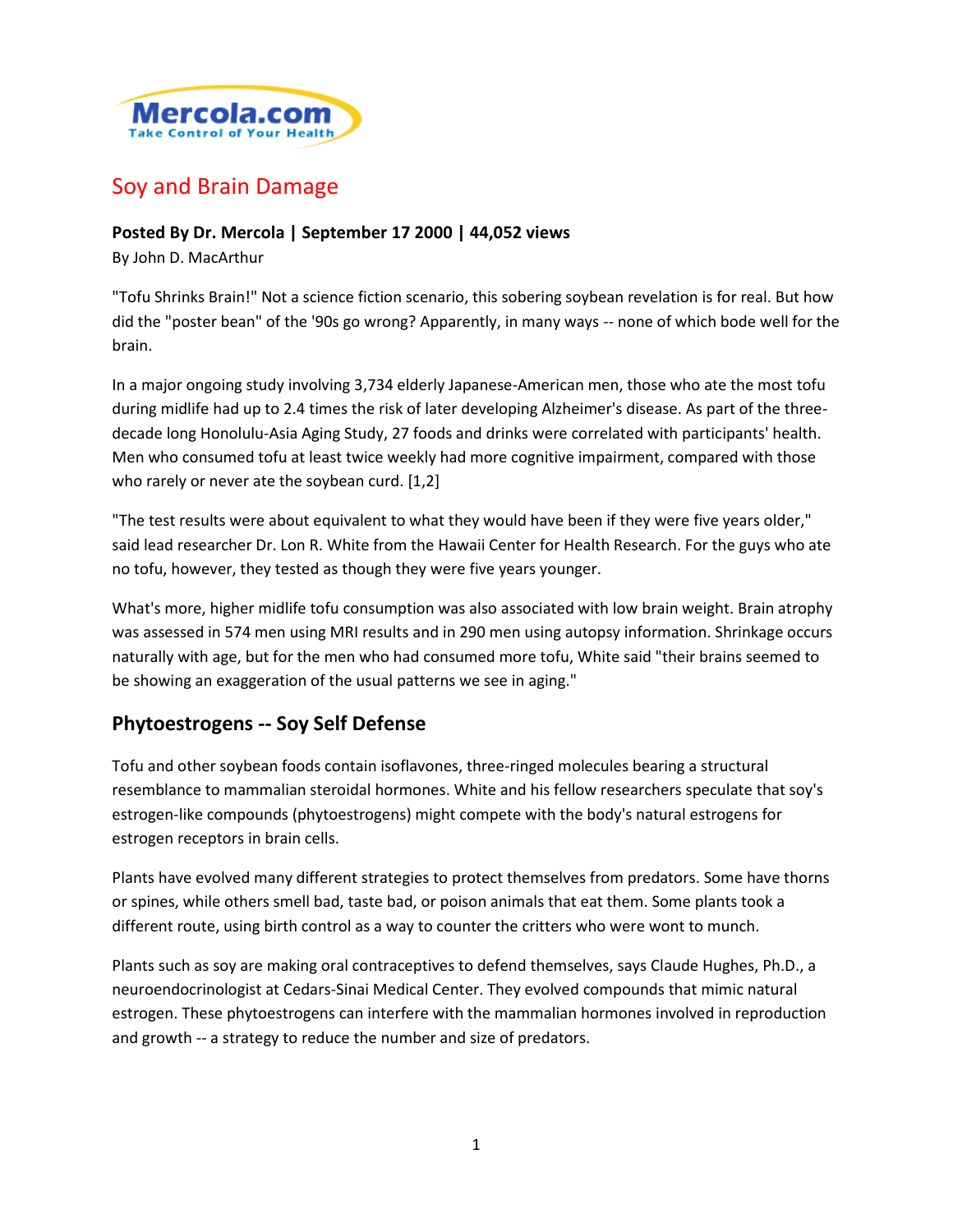

# Soy and Brain Damage

#### **Posted By Dr. Mercola | September 17 2000 | 44,052 views**

By John D. MacArthur

"Tofu Shrinks Brain!" Not a science fiction scenario, this sobering soybean revelation is for real. But how did the "poster bean" of the '90s go wrong? Apparently, in many ways -- none of which bode well for the brain.

In a major ongoing study involving 3,734 elderly Japanese-American men, those who ate the most tofu during midlife had up to 2.4 times the risk of later developing Alzheimer's disease. As part of the threedecade long Honolulu-Asia Aging Study, 27 foods and drinks were correlated with participants' health. Men who consumed tofu at least twice weekly had more cognitive impairment, compared with those who rarely or never ate the soybean curd. [1,2]

"The test results were about equivalent to what they would have been if they were five years older," said lead researcher Dr. Lon R. White from the Hawaii Center for Health Research. For the guys who ate no tofu, however, they tested as though they were five years younger.

What's more, higher midlife tofu consumption was also associated with low brain weight. Brain atrophy was assessed in 574 men using MRI results and in 290 men using autopsy information. Shrinkage occurs naturally with age, but for the men who had consumed more tofu, White said "their brains seemed to be showing an exaggeration of the usual patterns we see in aging."

### **Phytoestrogens -- Soy Self Defense**

Tofu and other soybean foods contain isoflavones, three-ringed molecules bearing a structural resemblance to mammalian steroidal hormones. White and his fellow researchers speculate that soy's estrogen-like compounds (phytoestrogens) might compete with the body's natural estrogens for estrogen receptors in brain cells.

Plants have evolved many different strategies to protect themselves from predators. Some have thorns or spines, while others smell bad, taste bad, or poison animals that eat them. Some plants took a different route, using birth control as a way to counter the critters who were wont to munch.

Plants such as soy are making oral contraceptives to defend themselves, says Claude Hughes, Ph.D., a neuroendocrinologist at Cedars-Sinai Medical Center. They evolved compounds that mimic natural estrogen. These phytoestrogens can interfere with the mammalian hormones involved in reproduction and growth -- a strategy to reduce the number and size of predators.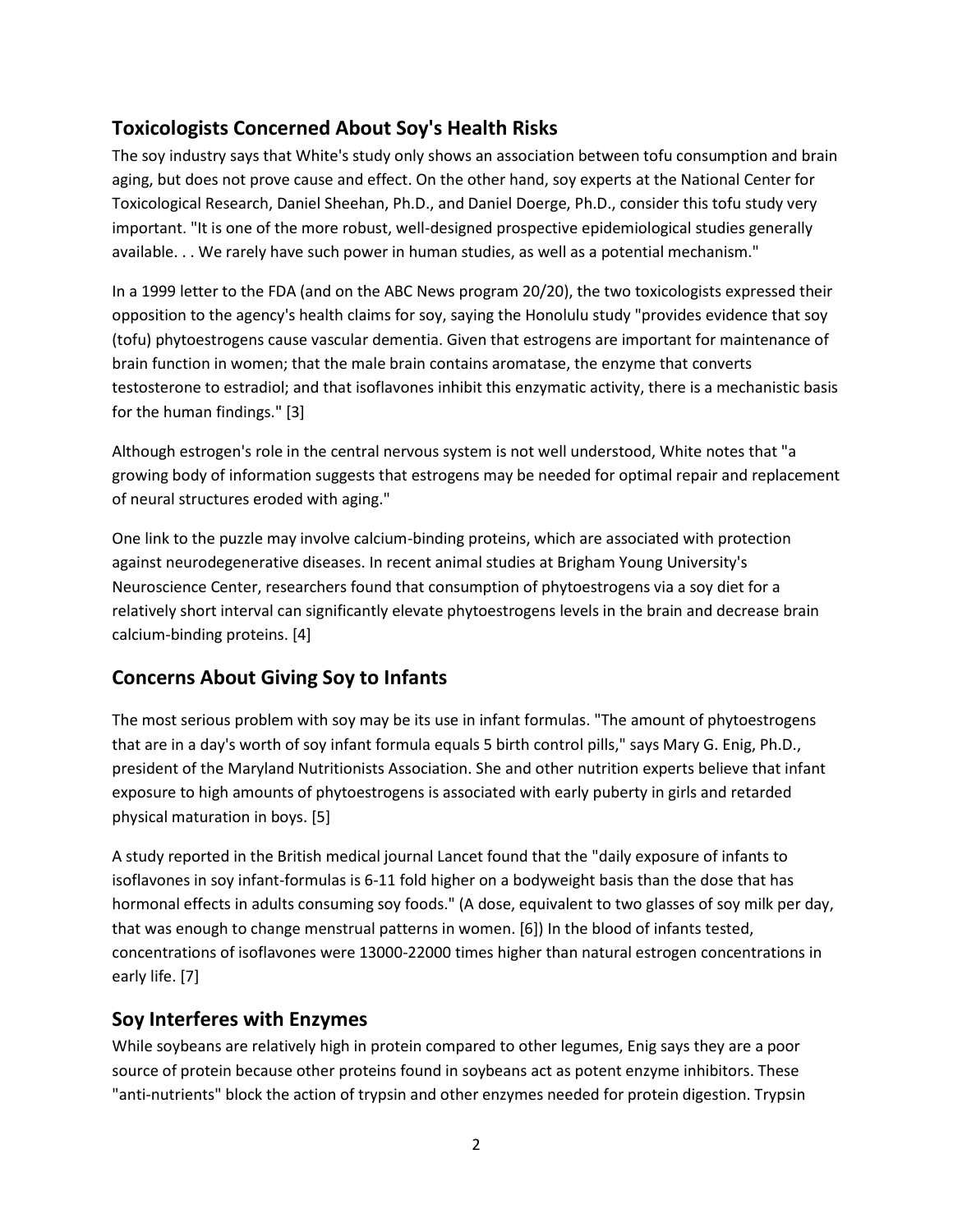# **Toxicologists Concerned About Soy's Health Risks**

The soy industry says that White's study only shows an association between tofu consumption and brain aging, but does not prove cause and effect. On the other hand, soy experts at the National Center for Toxicological Research, Daniel Sheehan, Ph.D., and Daniel Doerge, Ph.D., consider this tofu study very important. "It is one of the more robust, well-designed prospective epidemiological studies generally available. . . We rarely have such power in human studies, as well as a potential mechanism."

In a 1999 letter to the FDA (and on the ABC News program 20/20), the two toxicologists expressed their opposition to the agency's health claims for soy, saying the Honolulu study "provides evidence that soy (tofu) phytoestrogens cause vascular dementia. Given that estrogens are important for maintenance of brain function in women; that the male brain contains aromatase, the enzyme that converts testosterone to estradiol; and that isoflavones inhibit this enzymatic activity, there is a mechanistic basis for the human findings." [3]

Although estrogen's role in the central nervous system is not well understood, White notes that "a growing body of information suggests that estrogens may be needed for optimal repair and replacement of neural structures eroded with aging."

One link to the puzzle may involve calcium-binding proteins, which are associated with protection against neurodegenerative diseases. In recent animal studies at Brigham Young University's Neuroscience Center, researchers found that consumption of phytoestrogens via a soy diet for a relatively short interval can significantly elevate phytoestrogens levels in the brain and decrease brain calcium-binding proteins. [4]

### **Concerns About Giving Soy to Infants**

The most serious problem with soy may be its use in infant formulas. "The amount of phytoestrogens that are in a day's worth of soy infant formula equals 5 birth control pills," says Mary G. Enig, Ph.D., president of the Maryland Nutritionists Association. She and other nutrition experts believe that infant exposure to high amounts of phytoestrogens is associated with early puberty in girls and retarded physical maturation in boys. [5]

A study reported in the British medical journal Lancet found that the "daily exposure of infants to isoflavones in soy infant-formulas is 6-11 fold higher on a bodyweight basis than the dose that has hormonal effects in adults consuming soy foods." (A dose, equivalent to two glasses of soy milk per day, that was enough to change menstrual patterns in women. [6]) In the blood of infants tested, concentrations of isoflavones were 13000-22000 times higher than natural estrogen concentrations in early life. [7]

### **Soy Interferes with Enzymes**

While soybeans are relatively high in protein compared to other legumes, Enig says they are a poor source of protein because other proteins found in soybeans act as potent enzyme inhibitors. These "anti-nutrients" block the action of trypsin and other enzymes needed for protein digestion. Trypsin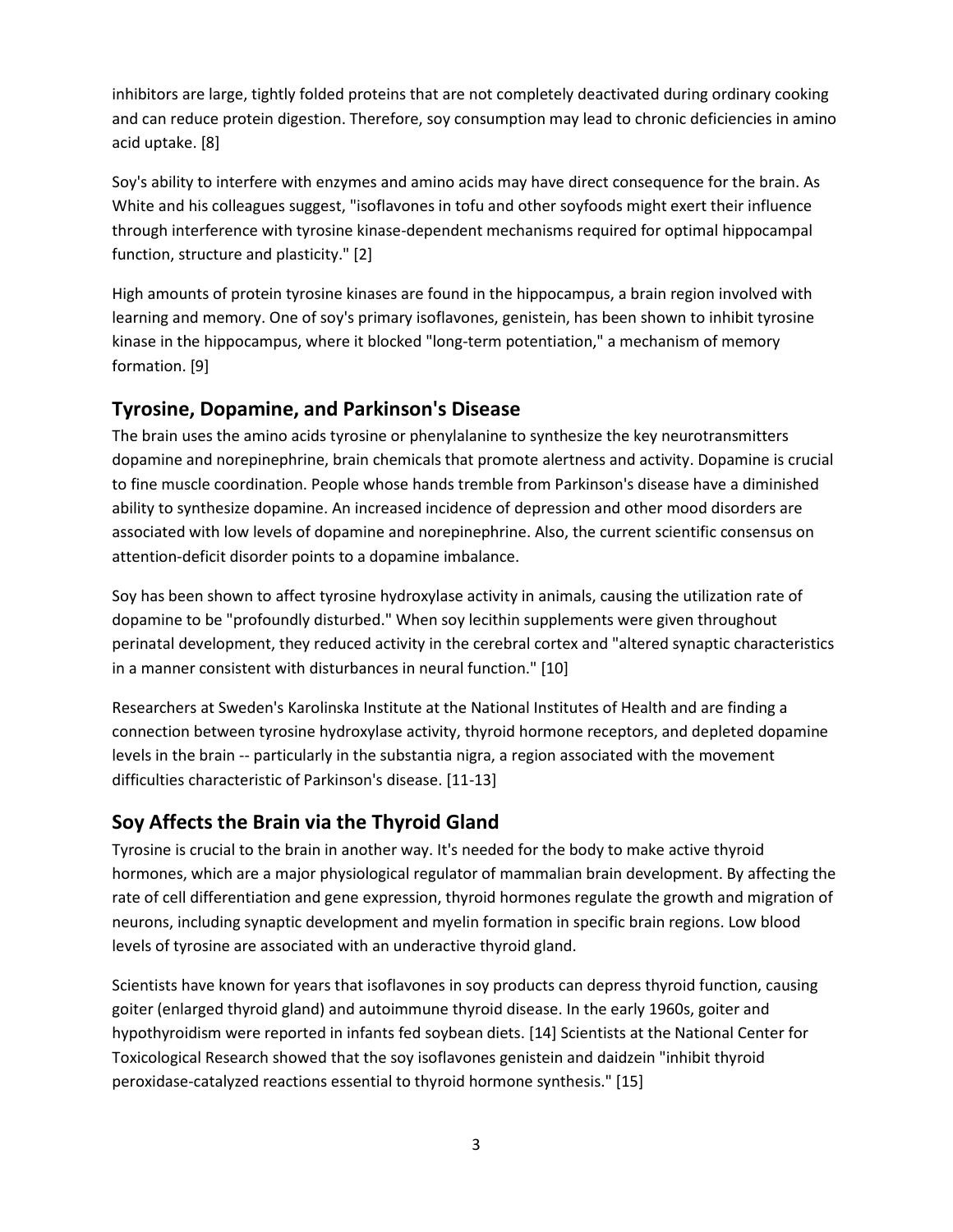inhibitors are large, tightly folded proteins that are not completely deactivated during ordinary cooking and can reduce protein digestion. Therefore, soy consumption may lead to chronic deficiencies in amino acid uptake. [8]

Soy's ability to interfere with enzymes and amino acids may have direct consequence for the brain. As White and his colleagues suggest, "isoflavones in tofu and other soyfoods might exert their influence through interference with tyrosine kinase-dependent mechanisms required for optimal hippocampal function, structure and plasticity." [2]

High amounts of protein tyrosine kinases are found in the hippocampus, a brain region involved with learning and memory. One of soy's primary isoflavones, genistein, has been shown to inhibit tyrosine kinase in the hippocampus, where it blocked "long-term potentiation," a mechanism of memory formation. [9]

#### **Tyrosine, Dopamine, and Parkinson's Disease**

The brain uses the amino acids tyrosine or phenylalanine to synthesize the key neurotransmitters dopamine and norepinephrine, brain chemicals that promote alertness and activity. Dopamine is crucial to fine muscle coordination. People whose hands tremble from Parkinson's disease have a diminished ability to synthesize dopamine. An increased incidence of depression and other mood disorders are associated with low levels of dopamine and norepinephrine. Also, the current scientific consensus on attention-deficit disorder points to a dopamine imbalance.

Soy has been shown to affect tyrosine hydroxylase activity in animals, causing the utilization rate of dopamine to be "profoundly disturbed." When soy lecithin supplements were given throughout perinatal development, they reduced activity in the cerebral cortex and "altered synaptic characteristics in a manner consistent with disturbances in neural function." [10]

Researchers at Sweden's Karolinska Institute at the National Institutes of Health and are finding a connection between tyrosine hydroxylase activity, thyroid hormone receptors, and depleted dopamine levels in the brain -- particularly in the substantia nigra, a region associated with the movement difficulties characteristic of Parkinson's disease. [11-13]

### **Soy Affects the Brain via the Thyroid Gland**

Tyrosine is crucial to the brain in another way. It's needed for the body to make active thyroid hormones, which are a major physiological regulator of mammalian brain development. By affecting the rate of cell differentiation and gene expression, thyroid hormones regulate the growth and migration of neurons, including synaptic development and myelin formation in specific brain regions. Low blood levels of tyrosine are associated with an underactive thyroid gland.

Scientists have known for years that isoflavones in soy products can depress thyroid function, causing goiter (enlarged thyroid gland) and autoimmune thyroid disease. In the early 1960s, goiter and hypothyroidism were reported in infants fed soybean diets. [14] Scientists at the National Center for Toxicological Research showed that the soy isoflavones genistein and daidzein "inhibit thyroid peroxidase-catalyzed reactions essential to thyroid hormone synthesis." [15]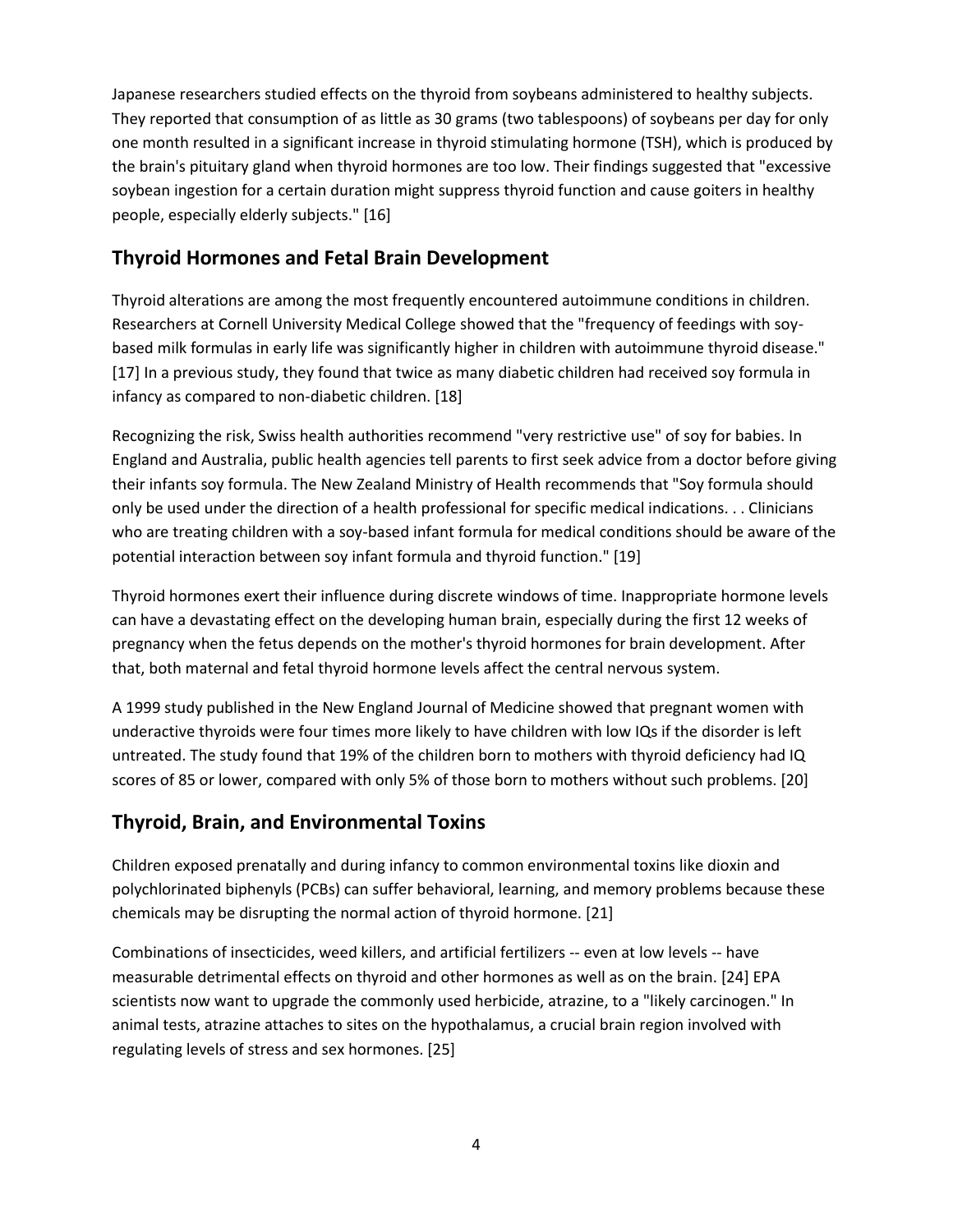Japanese researchers studied effects on the thyroid from soybeans administered to healthy subjects. They reported that consumption of as little as 30 grams (two tablespoons) of soybeans per day for only one month resulted in a significant increase in thyroid stimulating hormone (TSH), which is produced by the brain's pituitary gland when thyroid hormones are too low. Their findings suggested that "excessive soybean ingestion for a certain duration might suppress thyroid function and cause goiters in healthy people, especially elderly subjects." [16]

### **Thyroid Hormones and Fetal Brain Development**

Thyroid alterations are among the most frequently encountered autoimmune conditions in children. Researchers at Cornell University Medical College showed that the "frequency of feedings with soybased milk formulas in early life was significantly higher in children with autoimmune thyroid disease." [17] In a previous study, they found that twice as many diabetic children had received soy formula in infancy as compared to non-diabetic children. [18]

Recognizing the risk, Swiss health authorities recommend "very restrictive use" of soy for babies. In England and Australia, public health agencies tell parents to first seek advice from a doctor before giving their infants soy formula. The New Zealand Ministry of Health recommends that "Soy formula should only be used under the direction of a health professional for specific medical indications. . . Clinicians who are treating children with a soy-based infant formula for medical conditions should be aware of the potential interaction between soy infant formula and thyroid function." [19]

Thyroid hormones exert their influence during discrete windows of time. Inappropriate hormone levels can have a devastating effect on the developing human brain, especially during the first 12 weeks of pregnancy when the fetus depends on the mother's thyroid hormones for brain development. After that, both maternal and fetal thyroid hormone levels affect the central nervous system.

A 1999 study published in the New England Journal of Medicine showed that pregnant women with underactive thyroids were four times more likely to have children with low IQs if the disorder is left untreated. The study found that 19% of the children born to mothers with thyroid deficiency had IQ scores of 85 or lower, compared with only 5% of those born to mothers without such problems. [20]

# **Thyroid, Brain, and Environmental Toxins**

Children exposed prenatally and during infancy to common environmental toxins like dioxin and polychlorinated biphenyls (PCBs) can suffer behavioral, learning, and memory problems because these chemicals may be disrupting the normal action of thyroid hormone. [21]

Combinations of insecticides, weed killers, and artificial fertilizers -- even at low levels -- have measurable detrimental effects on thyroid and other hormones as well as on the brain. [24] EPA scientists now want to upgrade the commonly used herbicide, atrazine, to a "likely carcinogen." In animal tests, atrazine attaches to sites on the hypothalamus, a crucial brain region involved with regulating levels of stress and sex hormones. [25]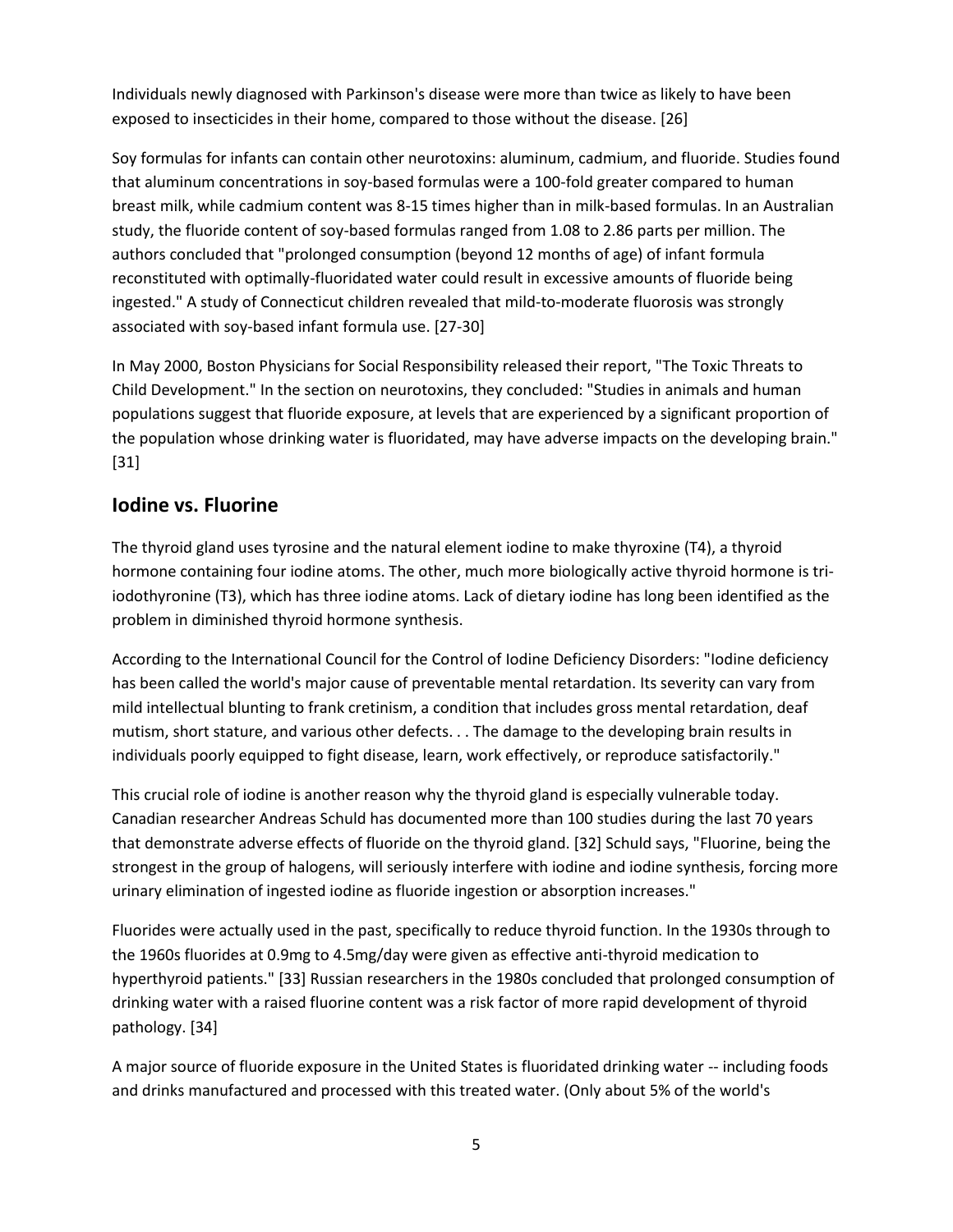Individuals newly diagnosed with Parkinson's disease were more than twice as likely to have been exposed to insecticides in their home, compared to those without the disease. [26]

Soy formulas for infants can contain other neurotoxins: aluminum, cadmium, and fluoride. Studies found that aluminum concentrations in soy-based formulas were a 100-fold greater compared to human breast milk, while cadmium content was 8-15 times higher than in milk-based formulas. In an Australian study, the fluoride content of soy-based formulas ranged from 1.08 to 2.86 parts per million. The authors concluded that "prolonged consumption (beyond 12 months of age) of infant formula reconstituted with optimally-fluoridated water could result in excessive amounts of fluoride being ingested." A study of Connecticut children revealed that mild-to-moderate fluorosis was strongly associated with soy-based infant formula use. [27-30]

In May 2000, Boston Physicians for Social Responsibility released their report, "The Toxic Threats to Child Development." In the section on neurotoxins, they concluded: "Studies in animals and human populations suggest that fluoride exposure, at levels that are experienced by a significant proportion of the population whose drinking water is fluoridated, may have adverse impacts on the developing brain." [31]

#### **Iodine vs. Fluorine**

The thyroid gland uses tyrosine and the natural element iodine to make thyroxine (T4), a thyroid hormone containing four iodine atoms. The other, much more biologically active thyroid hormone is triiodothyronine (T3), which has three iodine atoms. Lack of dietary iodine has long been identified as the problem in diminished thyroid hormone synthesis.

According to the International Council for the Control of Iodine Deficiency Disorders: "Iodine deficiency has been called the world's major cause of preventable mental retardation. Its severity can vary from mild intellectual blunting to frank cretinism, a condition that includes gross mental retardation, deaf mutism, short stature, and various other defects. . . The damage to the developing brain results in individuals poorly equipped to fight disease, learn, work effectively, or reproduce satisfactorily."

This crucial role of iodine is another reason why the thyroid gland is especially vulnerable today. Canadian researcher Andreas Schuld has documented more than 100 studies during the last 70 years that demonstrate adverse effects of fluoride on the thyroid gland. [32] Schuld says, "Fluorine, being the strongest in the group of halogens, will seriously interfere with iodine and iodine synthesis, forcing more urinary elimination of ingested iodine as fluoride ingestion or absorption increases."

Fluorides were actually used in the past, specifically to reduce thyroid function. In the 1930s through to the 1960s fluorides at 0.9mg to 4.5mg/day were given as effective anti-thyroid medication to hyperthyroid patients." [33] Russian researchers in the 1980s concluded that prolonged consumption of drinking water with a raised fluorine content was a risk factor of more rapid development of thyroid pathology. [34]

A major source of fluoride exposure in the United States is fluoridated drinking water -- including foods and drinks manufactured and processed with this treated water. (Only about 5% of the world's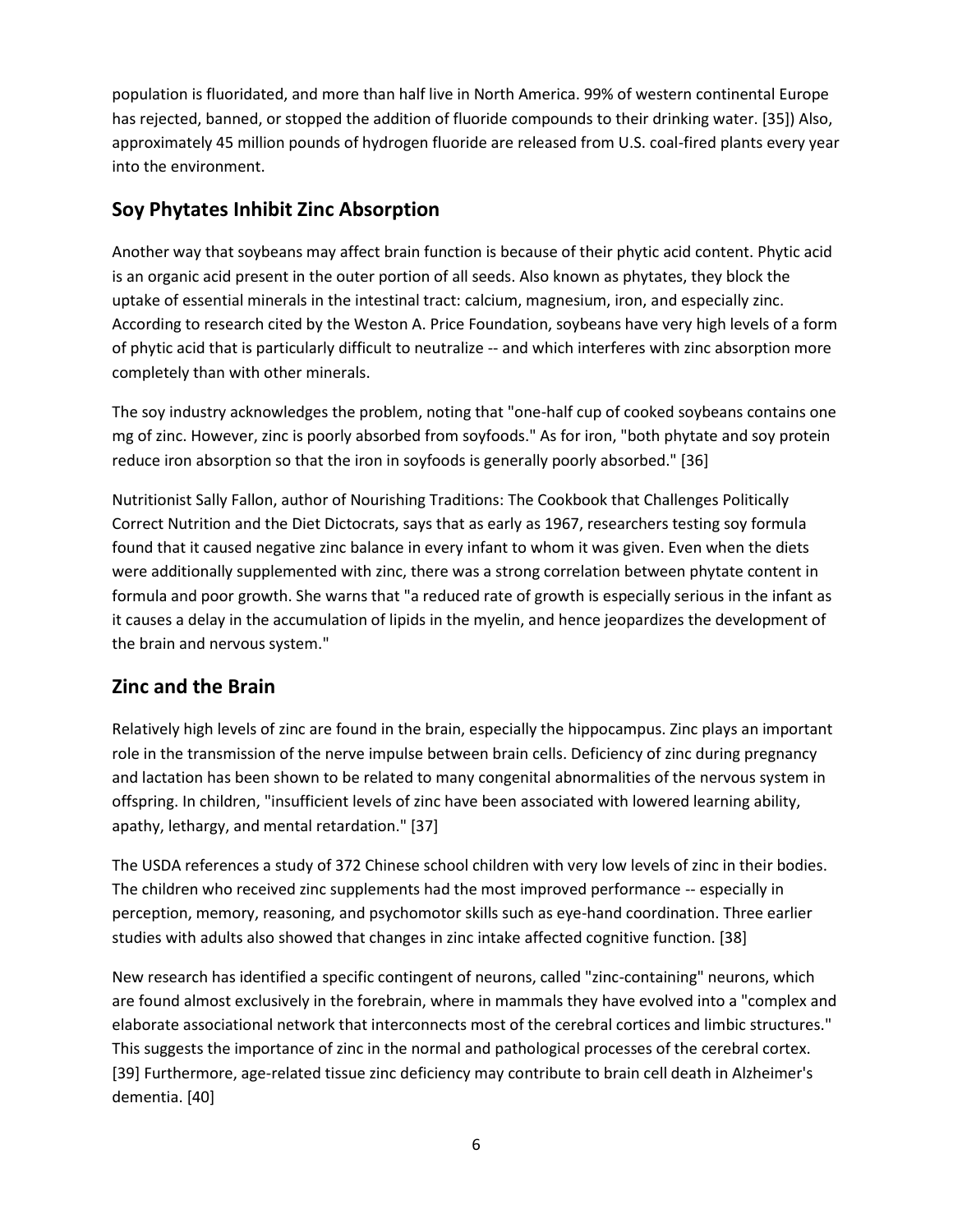population is fluoridated, and more than half live in North America. 99% of western continental Europe has rejected, banned, or stopped the addition of fluoride compounds to their drinking water. [35]) Also, approximately 45 million pounds of hydrogen fluoride are released from U.S. coal-fired plants every year into the environment.

# **Soy Phytates Inhibit Zinc Absorption**

Another way that soybeans may affect brain function is because of their phytic acid content. Phytic acid is an organic acid present in the outer portion of all seeds. Also known as phytates, they block the uptake of essential minerals in the intestinal tract: calcium, magnesium, iron, and especially zinc. According to research cited by the Weston A. Price Foundation, soybeans have very high levels of a form of phytic acid that is particularly difficult to neutralize -- and which interferes with zinc absorption more completely than with other minerals.

The soy industry acknowledges the problem, noting that "one-half cup of cooked soybeans contains one mg of zinc. However, zinc is poorly absorbed from soyfoods." As for iron, "both phytate and soy protein reduce iron absorption so that the iron in soyfoods is generally poorly absorbed." [36]

Nutritionist Sally Fallon, author of Nourishing Traditions: The Cookbook that Challenges Politically Correct Nutrition and the Diet Dictocrats, says that as early as 1967, researchers testing soy formula found that it caused negative zinc balance in every infant to whom it was given. Even when the diets were additionally supplemented with zinc, there was a strong correlation between phytate content in formula and poor growth. She warns that "a reduced rate of growth is especially serious in the infant as it causes a delay in the accumulation of lipids in the myelin, and hence jeopardizes the development of the brain and nervous system."

# **Zinc and the Brain**

Relatively high levels of zinc are found in the brain, especially the hippocampus. Zinc plays an important role in the transmission of the nerve impulse between brain cells. Deficiency of zinc during pregnancy and lactation has been shown to be related to many congenital abnormalities of the nervous system in offspring. In children, "insufficient levels of zinc have been associated with lowered learning ability, apathy, lethargy, and mental retardation." [37]

The USDA references a study of 372 Chinese school children with very low levels of zinc in their bodies. The children who received zinc supplements had the most improved performance -- especially in perception, memory, reasoning, and psychomotor skills such as eye-hand coordination. Three earlier studies with adults also showed that changes in zinc intake affected cognitive function. [38]

New research has identified a specific contingent of neurons, called "zinc-containing" neurons, which are found almost exclusively in the forebrain, where in mammals they have evolved into a "complex and elaborate associational network that interconnects most of the cerebral cortices and limbic structures." This suggests the importance of zinc in the normal and pathological processes of the cerebral cortex. [39] Furthermore, age-related tissue zinc deficiency may contribute to brain cell death in Alzheimer's dementia. [40]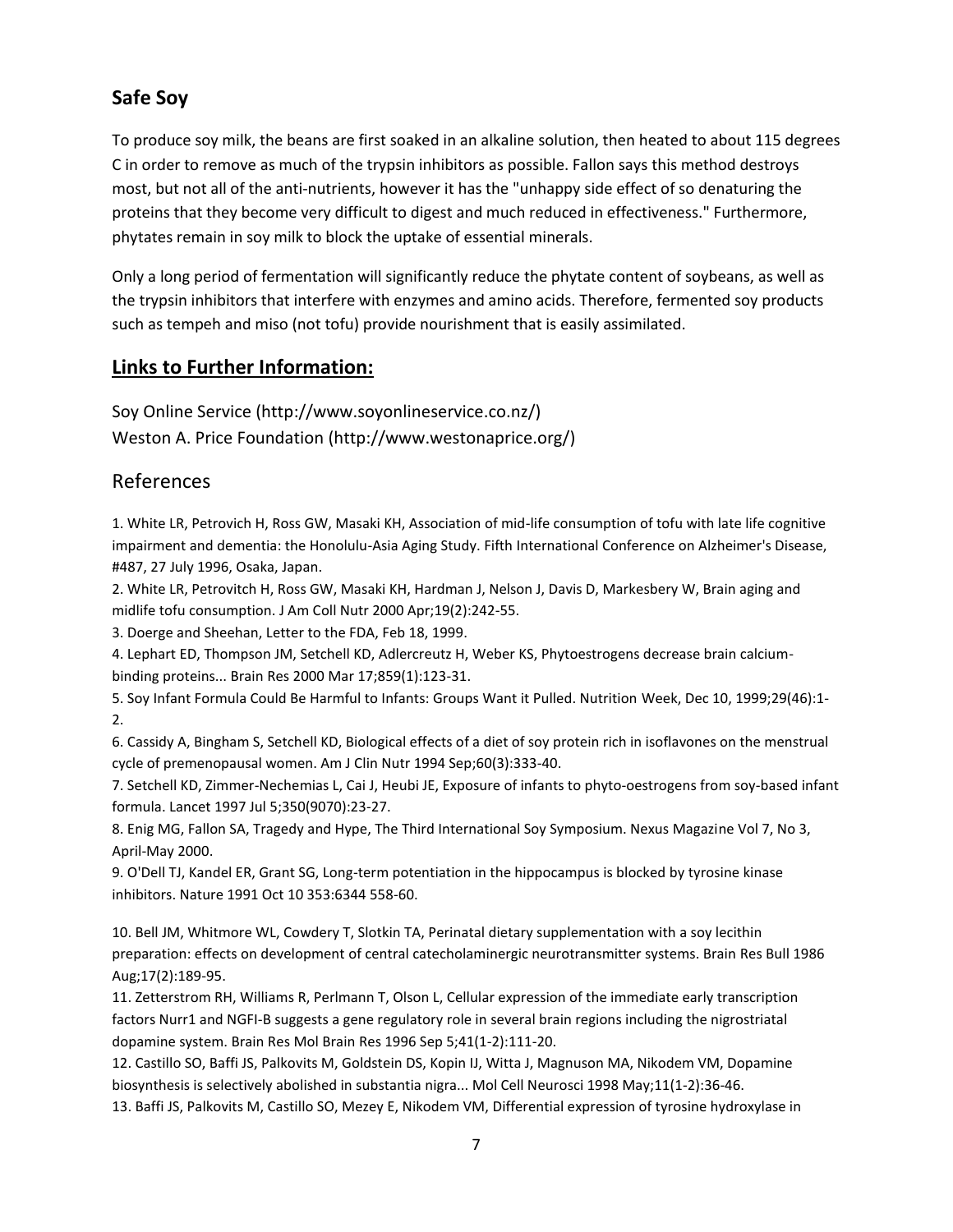# **Safe Soy**

To produce soy milk, the beans are first soaked in an alkaline solution, then heated to about 115 degrees C in order to remove as much of the trypsin inhibitors as possible. Fallon says this method destroys most, but not all of the anti-nutrients, however it has the "unhappy side effect of so denaturing the proteins that they become very difficult to digest and much reduced in effectiveness." Furthermore, phytates remain in soy milk to block the uptake of essential minerals.

Only a long period of fermentation will significantly reduce the phytate content of soybeans, as well as the trypsin inhibitors that interfere with enzymes and amino acids. Therefore, fermented soy products such as tempeh and miso (not tofu) provide nourishment that is easily assimilated.

#### **Links to Further Information:**

Soy Online Service (http://www.soyonlineservice.co.nz/) Weston A. Price Foundation (http://www.westonaprice.org/)

### References

1. White LR, Petrovich H, Ross GW, Masaki KH, Association of mid-life consumption of tofu with late life cognitive impairment and dementia: the Honolulu-Asia Aging Study. Fifth International Conference on Alzheimer's Disease, #487, 27 July 1996, Osaka, Japan.

2. White LR, Petrovitch H, Ross GW, Masaki KH, Hardman J, Nelson J, Davis D, Markesbery W, Brain aging and midlife tofu consumption. J Am Coll Nutr 2000 Apr;19(2):242-55.

3. Doerge and Sheehan, Letter to the FDA, Feb 18, 1999.

4. Lephart ED, Thompson JM, Setchell KD, Adlercreutz H, Weber KS, Phytoestrogens decrease brain calciumbinding proteins... Brain Res 2000 Mar 17;859(1):123-31.

5. Soy Infant Formula Could Be Harmful to Infants: Groups Want it Pulled. Nutrition Week, Dec 10, 1999;29(46):1- 2.

6. Cassidy A, Bingham S, Setchell KD, Biological effects of a diet of soy protein rich in isoflavones on the menstrual cycle of premenopausal women. Am J Clin Nutr 1994 Sep;60(3):333-40.

7. Setchell KD, Zimmer-Nechemias L, Cai J, Heubi JE, Exposure of infants to phyto-oestrogens from soy-based infant formula. Lancet 1997 Jul 5;350(9070):23-27.

8. Enig MG, Fallon SA, Tragedy and Hype, The Third International Soy Symposium. Nexus Magazine Vol 7, No 3, April-May 2000.

9. O'Dell TJ, Kandel ER, Grant SG, Long-term potentiation in the hippocampus is blocked by tyrosine kinase inhibitors. Nature 1991 Oct 10 353:6344 558-60.

10. Bell JM, Whitmore WL, Cowdery T, Slotkin TA, Perinatal dietary supplementation with a soy lecithin preparation: effects on development of central catecholaminergic neurotransmitter systems. Brain Res Bull 1986 Aug;17(2):189-95.

11. Zetterstrom RH, Williams R, Perlmann T, Olson L, Cellular expression of the immediate early transcription factors Nurr1 and NGFI-B suggests a gene regulatory role in several brain regions including the nigrostriatal dopamine system. Brain Res Mol Brain Res 1996 Sep 5;41(1-2):111-20.

12. Castillo SO, Baffi JS, Palkovits M, Goldstein DS, Kopin IJ, Witta J, Magnuson MA, Nikodem VM, Dopamine biosynthesis is selectively abolished in substantia nigra... Mol Cell Neurosci 1998 May;11(1-2):36-46.

13. Baffi JS, Palkovits M, Castillo SO, Mezey E, Nikodem VM, Differential expression of tyrosine hydroxylase in